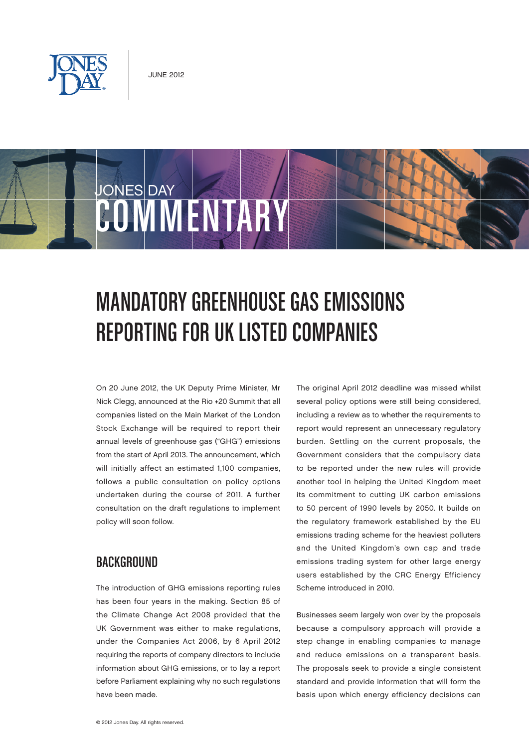

JONES DAY

COMMUNIST

# Mandatory Greenhouse Gas Emissions Reporting for UK Listed Companies

On 20 June 2012, the UK Deputy Prime Minister, Mr Nick Clegg, announced at the Rio +20 Summit that all companies listed on the Main Market of the London Stock Exchange will be required to report their annual levels of greenhouse gas ("GHG") emissions from the start of April 2013. The announcement, which will initially affect an estimated 1,100 companies, follows a public consultation on policy options undertaken during the course of 2011. A further consultation on the draft regulations to implement policy will soon follow.

## **BACKGROUND**

The introduction of GHG emissions reporting rules has been four years in the making. Section 85 of the Climate Change Act 2008 provided that the UK Government was either to make regulations, under the Companies Act 2006, by 6 April 2012 requiring the reports of company directors to include information about GHG emissions, or to lay a report before Parliament explaining why no such regulations have been made.

The original April 2012 deadline was missed whilst several policy options were still being considered, including a review as to whether the requirements to report would represent an unnecessary regulatory burden. Settling on the current proposals, the Government considers that the compulsory data to be reported under the new rules will provide another tool in helping the United Kingdom meet its commitment to cutting UK carbon emissions to 50 percent of 1990 levels by 2050. It builds on the regulatory framework established by the EU emissions trading scheme for the heaviest polluters and the United Kingdom's own cap and trade emissions trading system for other large energy users established by the CRC Energy Efficiency Scheme introduced in 2010.

Businesses seem largely won over by the proposals because a compulsory approach will provide a step change in enabling companies to manage and reduce emissions on a transparent basis. The proposals seek to provide a single consistent standard and provide information that will form the basis upon which energy efficiency decisions can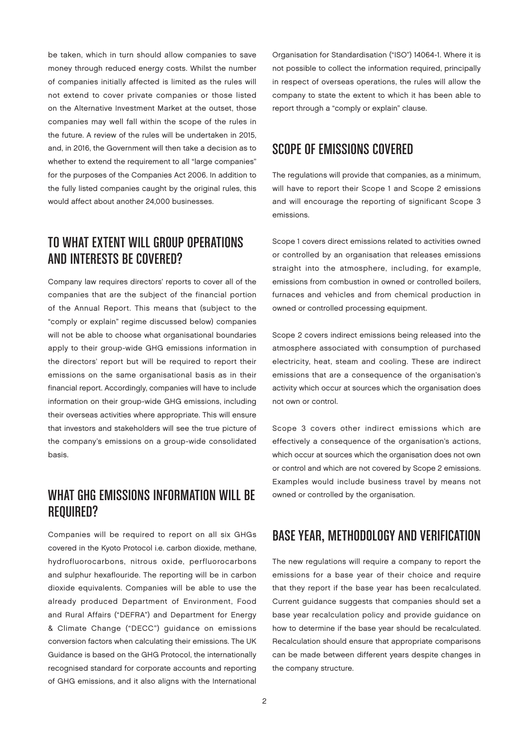be taken, which in turn should allow companies to save money through reduced energy costs. Whilst the number of companies initially affected is limited as the rules will not extend to cover private companies or those listed on the Alternative Investment Market at the outset, those companies may well fall within the scope of the rules in the future. A review of the rules will be undertaken in 2015, and, in 2016, the Government will then take a decision as to whether to extend the requirement to all "large companies" for the purposes of the Companies Act 2006. In addition to the fully listed companies caught by the original rules, this would affect about another 24,000 businesses.

# To What Extent Will Group Operations and Interests Be Covered?

Company law requires directors' reports to cover all of the companies that are the subject of the financial portion of the Annual Report. This means that (subject to the "comply or explain" regime discussed below) companies will not be able to choose what organisational boundaries apply to their group-wide GHG emissions information in the directors' report but will be required to report their emissions on the same organisational basis as in their financial report. Accordingly, companies will have to include information on their group-wide GHG emissions, including their overseas activities where appropriate. This will ensure that investors and stakeholders will see the true picture of the company's emissions on a group-wide consolidated basis.

## What GHG Emissions Information Will Be REQUIRED?

Companies will be required to report on all six GHGs covered in the Kyoto Protocol i.e. carbon dioxide, methane, hydrofluorocarbons, nitrous oxide, perfluorocarbons and sulphur hexaflouride. The reporting will be in carbon dioxide equivalents. Companies will be able to use the already produced Department of Environment, Food and Rural Affairs ("DEFRA") and Department for Energy & Climate Change ("DECC") guidance on emissions conversion factors when calculating their emissions. The UK Guidance is based on the GHG Protocol, the internationally recognised standard for corporate accounts and reporting of GHG emissions, and it also aligns with the International Organisation for Standardisation ("ISO") 14064-1. Where it is not possible to collect the information required, principally in respect of overseas operations, the rules will allow the company to state the extent to which it has been able to report through a "comply or explain" clause.

#### Scope of Emissions Covered

The regulations will provide that companies, as a minimum, will have to report their Scope 1 and Scope 2 emissions and will encourage the reporting of significant Scope 3 emissions.

Scope 1 covers direct emissions related to activities owned or controlled by an organisation that releases emissions straight into the atmosphere, including, for example, emissions from combustion in owned or controlled boilers, furnaces and vehicles and from chemical production in owned or controlled processing equipment.

Scope 2 covers indirect emissions being released into the atmosphere associated with consumption of purchased electricity, heat, steam and cooling. These are indirect emissions that are a consequence of the organisation's activity which occur at sources which the organisation does not own or control.

Scope 3 covers other indirect emissions which are effectively a consequence of the organisation's actions, which occur at sources which the organisation does not own or control and which are not covered by Scope 2 emissions. Examples would include business travel by means not owned or controlled by the organisation.

#### Base Year, Methodology and Verification

The new regulations will require a company to report the emissions for a base year of their choice and require that they report if the base year has been recalculated. Current guidance suggests that companies should set a base year recalculation policy and provide guidance on how to determine if the base year should be recalculated. Recalculation should ensure that appropriate comparisons can be made between different years despite changes in the company structure.